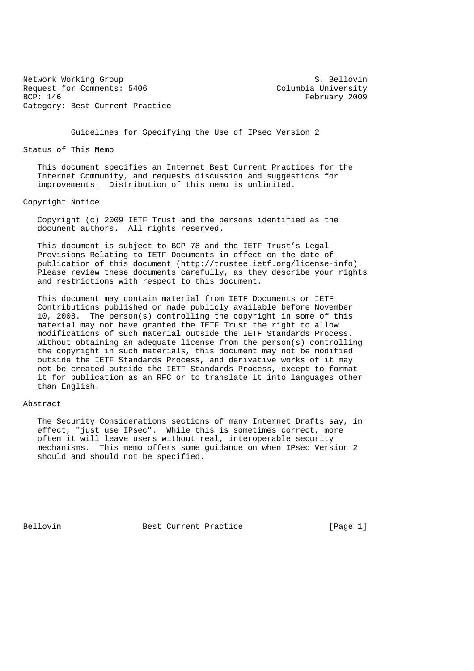Network Working Group S. Bellovin Request for Comments: 5406 Columbia University<br>BCP: 146 February 2009 Category: Best Current Practice

February 2009

Guidelines for Specifying the Use of IPsec Version 2

Status of This Memo

 This document specifies an Internet Best Current Practices for the Internet Community, and requests discussion and suggestions for improvements. Distribution of this memo is unlimited.

Copyright Notice

 Copyright (c) 2009 IETF Trust and the persons identified as the document authors. All rights reserved.

 This document is subject to BCP 78 and the IETF Trust's Legal Provisions Relating to IETF Documents in effect on the date of publication of this document (http://trustee.ietf.org/license-info). Please review these documents carefully, as they describe your rights and restrictions with respect to this document.

 This document may contain material from IETF Documents or IETF Contributions published or made publicly available before November 10, 2008. The person(s) controlling the copyright in some of this material may not have granted the IETF Trust the right to allow modifications of such material outside the IETF Standards Process. Without obtaining an adequate license from the person(s) controlling the copyright in such materials, this document may not be modified outside the IETF Standards Process, and derivative works of it may not be created outside the IETF Standards Process, except to format it for publication as an RFC or to translate it into languages other than English.

### Abstract

 The Security Considerations sections of many Internet Drafts say, in effect, "just use IPsec". While this is sometimes correct, more often it will leave users without real, interoperable security mechanisms. This memo offers some guidance on when IPsec Version 2 should and should not be specified.

Bellovin Best Current Practice [Page 1]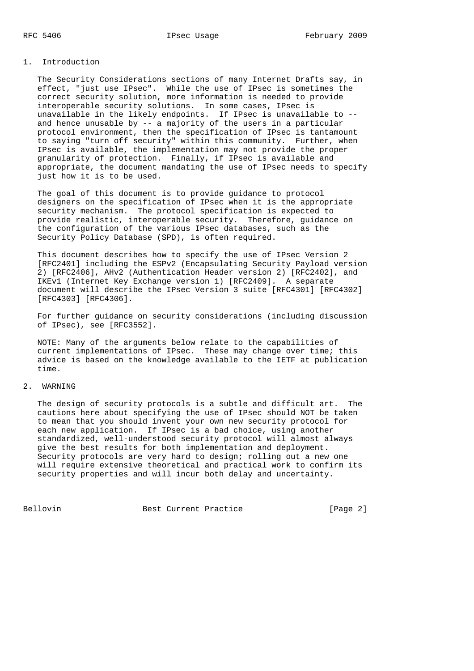## 1. Introduction

 The Security Considerations sections of many Internet Drafts say, in effect, "just use IPsec". While the use of IPsec is sometimes the correct security solution, more information is needed to provide interoperable security solutions. In some cases, IPsec is unavailable in the likely endpoints. If IPsec is unavailable to - and hence unusable by  $-$ - a majority of the users in a particular protocol environment, then the specification of IPsec is tantamount to saying "turn off security" within this community. Further, when IPsec is available, the implementation may not provide the proper granularity of protection. Finally, if IPsec is available and appropriate, the document mandating the use of IPsec needs to specify just how it is to be used.

 The goal of this document is to provide guidance to protocol designers on the specification of IPsec when it is the appropriate security mechanism. The protocol specification is expected to provide realistic, interoperable security. Therefore, guidance on the configuration of the various IPsec databases, such as the Security Policy Database (SPD), is often required.

 This document describes how to specify the use of IPsec Version 2 [RFC2401] including the ESPv2 (Encapsulating Security Payload version 2) [RFC2406], AHv2 (Authentication Header version 2) [RFC2402], and IKEv1 (Internet Key Exchange version 1) [RFC2409]. A separate document will describe the IPsec Version 3 suite [RFC4301] [RFC4302] [RFC4303] [RFC4306].

 For further guidance on security considerations (including discussion of IPsec), see [RFC3552].

 NOTE: Many of the arguments below relate to the capabilities of current implementations of IPsec. These may change over time; this advice is based on the knowledge available to the IETF at publication time.

### 2. WARNING

 The design of security protocols is a subtle and difficult art. The cautions here about specifying the use of IPsec should NOT be taken to mean that you should invent your own new security protocol for each new application. If IPsec is a bad choice, using another standardized, well-understood security protocol will almost always give the best results for both implementation and deployment. Security protocols are very hard to design; rolling out a new one will require extensive theoretical and practical work to confirm its security properties and will incur both delay and uncertainty.

Bellovin **Best Current Practice** [Page 2]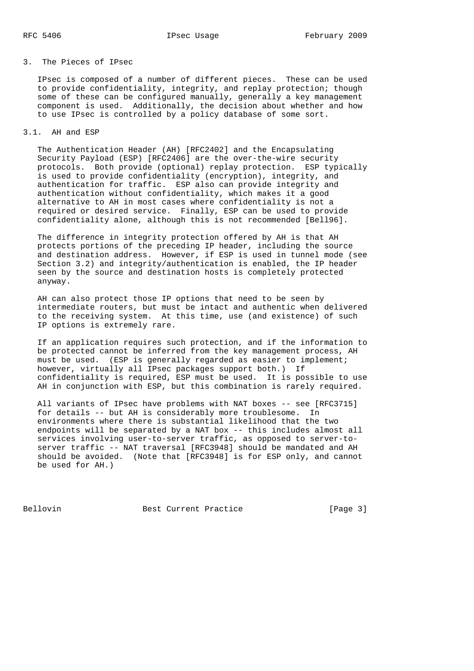## 3. The Pieces of IPsec

 IPsec is composed of a number of different pieces. These can be used to provide confidentiality, integrity, and replay protection; though some of these can be configured manually, generally a key management component is used. Additionally, the decision about whether and how to use IPsec is controlled by a policy database of some sort.

### 3.1. AH and ESP

 The Authentication Header (AH) [RFC2402] and the Encapsulating Security Payload (ESP) [RFC2406] are the over-the-wire security protocols. Both provide (optional) replay protection. ESP typically is used to provide confidentiality (encryption), integrity, and authentication for traffic. ESP also can provide integrity and authentication without confidentiality, which makes it a good alternative to AH in most cases where confidentiality is not a required or desired service. Finally, ESP can be used to provide confidentiality alone, although this is not recommended [Bell96].

 The difference in integrity protection offered by AH is that AH protects portions of the preceding IP header, including the source and destination address. However, if ESP is used in tunnel mode (see Section 3.2) and integrity/authentication is enabled, the IP header seen by the source and destination hosts is completely protected anyway.

 AH can also protect those IP options that need to be seen by intermediate routers, but must be intact and authentic when delivered to the receiving system. At this time, use (and existence) of such IP options is extremely rare.

 If an application requires such protection, and if the information to be protected cannot be inferred from the key management process, AH must be used. (ESP is generally regarded as easier to implement; however, virtually all IPsec packages support both.) If confidentiality is required, ESP must be used. It is possible to use AH in conjunction with ESP, but this combination is rarely required.

 All variants of IPsec have problems with NAT boxes -- see [RFC3715] for details -- but AH is considerably more troublesome. In environments where there is substantial likelihood that the two endpoints will be separated by a NAT box -- this includes almost all services involving user-to-server traffic, as opposed to server-to server traffic -- NAT traversal [RFC3948] should be mandated and AH should be avoided. (Note that [RFC3948] is for ESP only, and cannot be used for AH.)

Bellovin Best Current Practice [Page 3]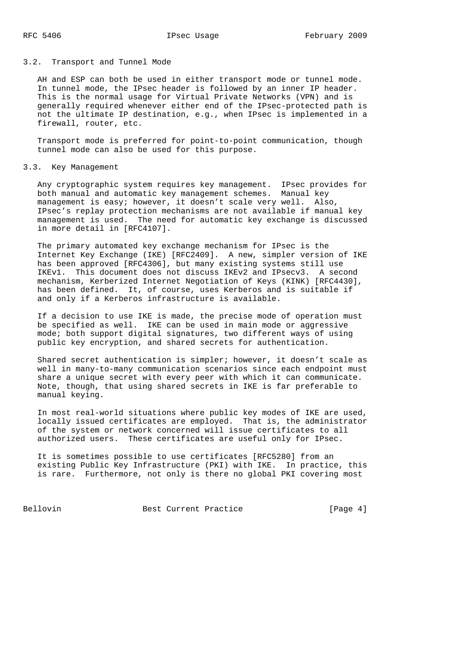### 3.2. Transport and Tunnel Mode

AH and ESP can both be used in either transport mode or tunnel mode. In tunnel mode, the IPsec header is followed by an inner IP header. This is the normal usage for Virtual Private Networks (VPN) and is generally required whenever either end of the IPsec-protected path is not the ultimate IP destination, e.g., when IPsec is implemented in a firewall, router, etc.

 Transport mode is preferred for point-to-point communication, though tunnel mode can also be used for this purpose.

### 3.3. Key Management

 Any cryptographic system requires key management. IPsec provides for both manual and automatic key management schemes. Manual key management is easy; however, it doesn't scale very well. Also, IPsec's replay protection mechanisms are not available if manual key management is used. The need for automatic key exchange is discussed in more detail in [RFC4107].

 The primary automated key exchange mechanism for IPsec is the Internet Key Exchange (IKE) [RFC2409]. A new, simpler version of IKE has been approved [RFC4306], but many existing systems still use IKEv1. This document does not discuss IKEv2 and IPsecv3. A second mechanism, Kerberized Internet Negotiation of Keys (KINK) [RFC4430], has been defined. It, of course, uses Kerberos and is suitable if and only if a Kerberos infrastructure is available.

 If a decision to use IKE is made, the precise mode of operation must be specified as well. IKE can be used in main mode or aggressive mode; both support digital signatures, two different ways of using public key encryption, and shared secrets for authentication.

 Shared secret authentication is simpler; however, it doesn't scale as well in many-to-many communication scenarios since each endpoint must share a unique secret with every peer with which it can communicate. Note, though, that using shared secrets in IKE is far preferable to manual keying.

 In most real-world situations where public key modes of IKE are used, locally issued certificates are employed. That is, the administrator of the system or network concerned will issue certificates to all authorized users. These certificates are useful only for IPsec.

 It is sometimes possible to use certificates [RFC5280] from an existing Public Key Infrastructure (PKI) with IKE. In practice, this is rare. Furthermore, not only is there no global PKI covering most

Bellovin Best Current Practice [Page 4]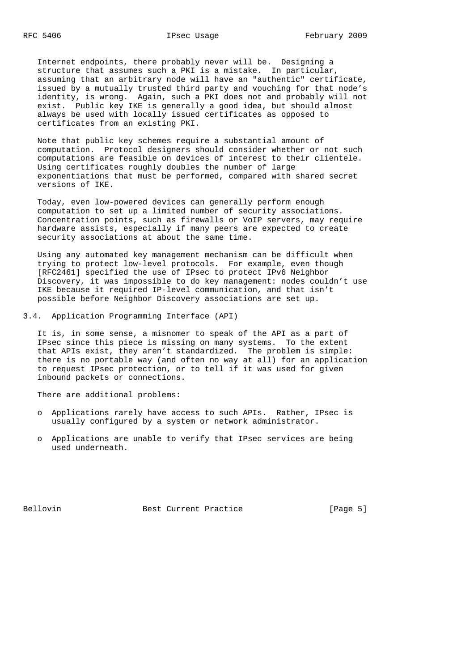Internet endpoints, there probably never will be. Designing a structure that assumes such a PKI is a mistake. In particular, assuming that an arbitrary node will have an "authentic" certificate, issued by a mutually trusted third party and vouching for that node's identity, is wrong. Again, such a PKI does not and probably will not exist. Public key IKE is generally a good idea, but should almost always be used with locally issued certificates as opposed to certificates from an existing PKI.

 Note that public key schemes require a substantial amount of computation. Protocol designers should consider whether or not such computations are feasible on devices of interest to their clientele. Using certificates roughly doubles the number of large exponentiations that must be performed, compared with shared secret versions of IKE.

 Today, even low-powered devices can generally perform enough computation to set up a limited number of security associations. Concentration points, such as firewalls or VoIP servers, may require hardware assists, especially if many peers are expected to create security associations at about the same time.

 Using any automated key management mechanism can be difficult when trying to protect low-level protocols. For example, even though [RFC2461] specified the use of IPsec to protect IPv6 Neighbor Discovery, it was impossible to do key management: nodes couldn't use IKE because it required IP-level communication, and that isn't possible before Neighbor Discovery associations are set up.

3.4. Application Programming Interface (API)

 It is, in some sense, a misnomer to speak of the API as a part of IPsec since this piece is missing on many systems. To the extent that APIs exist, they aren't standardized. The problem is simple: there is no portable way (and often no way at all) for an application to request IPsec protection, or to tell if it was used for given inbound packets or connections.

There are additional problems:

- o Applications rarely have access to such APIs. Rather, IPsec is usually configured by a system or network administrator.
- o Applications are unable to verify that IPsec services are being used underneath.

Bellovin **Best Current Practice** [Page 5]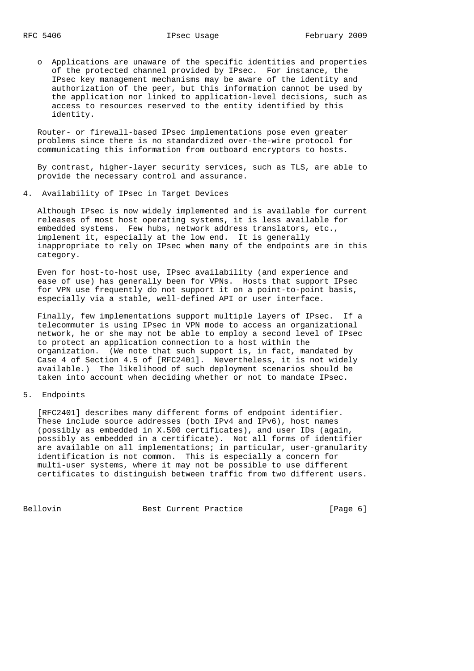o Applications are unaware of the specific identities and properties of the protected channel provided by IPsec. For instance, the IPsec key management mechanisms may be aware of the identity and authorization of the peer, but this information cannot be used by the application nor linked to application-level decisions, such as access to resources reserved to the entity identified by this identity.

 Router- or firewall-based IPsec implementations pose even greater problems since there is no standardized over-the-wire protocol for communicating this information from outboard encryptors to hosts.

 By contrast, higher-layer security services, such as TLS, are able to provide the necessary control and assurance.

4. Availability of IPsec in Target Devices

 Although IPsec is now widely implemented and is available for current releases of most host operating systems, it is less available for embedded systems. Few hubs, network address translators, etc., implement it, especially at the low end. It is generally inappropriate to rely on IPsec when many of the endpoints are in this category.

 Even for host-to-host use, IPsec availability (and experience and ease of use) has generally been for VPNs. Hosts that support IPsec for VPN use frequently do not support it on a point-to-point basis, especially via a stable, well-defined API or user interface.

 Finally, few implementations support multiple layers of IPsec. If a telecommuter is using IPsec in VPN mode to access an organizational network, he or she may not be able to employ a second level of IPsec to protect an application connection to a host within the organization. (We note that such support is, in fact, mandated by Case 4 of Section 4.5 of [RFC2401]. Nevertheless, it is not widely available.) The likelihood of such deployment scenarios should be taken into account when deciding whether or not to mandate IPsec.

## 5. Endpoints

 [RFC2401] describes many different forms of endpoint identifier. These include source addresses (both IPv4 and IPv6), host names (possibly as embedded in X.500 certificates), and user IDs (again, possibly as embedded in a certificate). Not all forms of identifier are available on all implementations; in particular, user-granularity identification is not common. This is especially a concern for multi-user systems, where it may not be possible to use different certificates to distinguish between traffic from two different users.

Bellovin **Best Current Practice** [Page 6]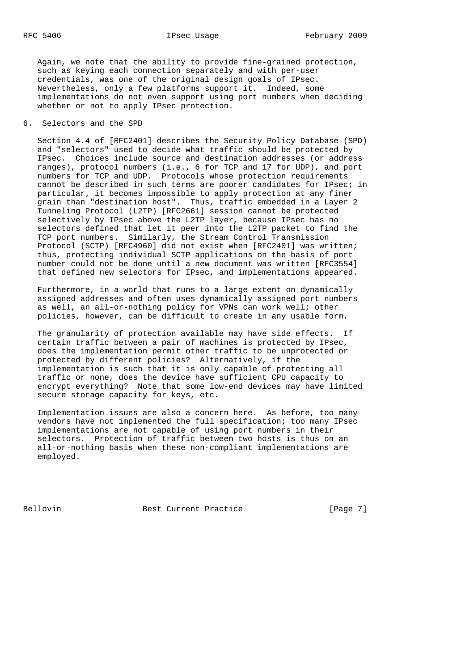Again, we note that the ability to provide fine-grained protection, such as keying each connection separately and with per-user credentials, was one of the original design goals of IPsec. Nevertheless, only a few platforms support it. Indeed, some implementations do not even support using port numbers when deciding whether or not to apply IPsec protection.

## 6. Selectors and the SPD

 Section 4.4 of [RFC2401] describes the Security Policy Database (SPD) and "selectors" used to decide what traffic should be protected by IPsec. Choices include source and destination addresses (or address ranges), protocol numbers (i.e., 6 for TCP and 17 for UDP), and port numbers for TCP and UDP. Protocols whose protection requirements cannot be described in such terms are poorer candidates for IPsec; in particular, it becomes impossible to apply protection at any finer grain than "destination host". Thus, traffic embedded in a Layer 2 Tunneling Protocol (L2TP) [RFC2661] session cannot be protected selectively by IPsec above the L2TP layer, because IPsec has no selectors defined that let it peer into the L2TP packet to find the TCP port numbers. Similarly, the Stream Control Transmission Protocol (SCTP) [RFC4960] did not exist when [RFC2401] was written; thus, protecting individual SCTP applications on the basis of port number could not be done until a new document was written [RFC3554] that defined new selectors for IPsec, and implementations appeared.

 Furthermore, in a world that runs to a large extent on dynamically assigned addresses and often uses dynamically assigned port numbers as well, an all-or-nothing policy for VPNs can work well; other policies, however, can be difficult to create in any usable form.

 The granularity of protection available may have side effects. If certain traffic between a pair of machines is protected by IPsec, does the implementation permit other traffic to be unprotected or protected by different policies? Alternatively, if the implementation is such that it is only capable of protecting all traffic or none, does the device have sufficient CPU capacity to encrypt everything? Note that some low-end devices may have limited secure storage capacity for keys, etc.

 Implementation issues are also a concern here. As before, too many vendors have not implemented the full specification; too many IPsec implementations are not capable of using port numbers in their selectors. Protection of traffic between two hosts is thus on an all-or-nothing basis when these non-compliant implementations are employed.

Bellovin **Best Current Practice** [Page 7]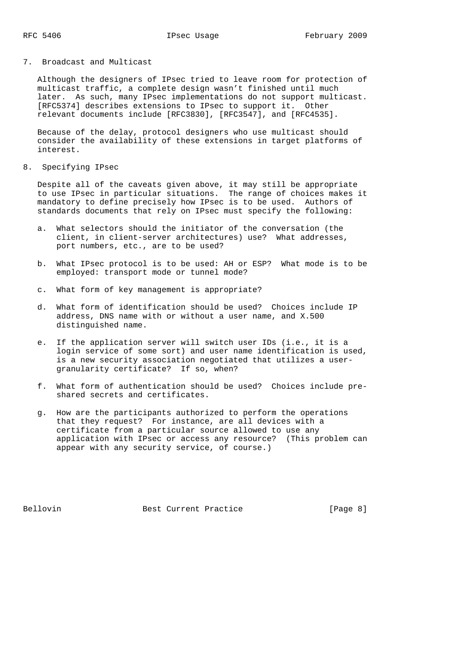## 7. Broadcast and Multicast

 Although the designers of IPsec tried to leave room for protection of multicast traffic, a complete design wasn't finished until much later. As such, many IPsec implementations do not support multicast. [RFC5374] describes extensions to IPsec to support it. Other relevant documents include [RFC3830], [RFC3547], and [RFC4535].

 Because of the delay, protocol designers who use multicast should consider the availability of these extensions in target platforms of interest.

8. Specifying IPsec

 Despite all of the caveats given above, it may still be appropriate to use IPsec in particular situations. The range of choices makes it mandatory to define precisely how IPsec is to be used. Authors of standards documents that rely on IPsec must specify the following:

- a. What selectors should the initiator of the conversation (the client, in client-server architectures) use? What addresses, port numbers, etc., are to be used?
- b. What IPsec protocol is to be used: AH or ESP? What mode is to be employed: transport mode or tunnel mode?
- c. What form of key management is appropriate?
- d. What form of identification should be used? Choices include IP address, DNS name with or without a user name, and X.500 distinguished name.
- e. If the application server will switch user IDs (i.e., it is a login service of some sort) and user name identification is used, is a new security association negotiated that utilizes a user granularity certificate? If so, when?
- f. What form of authentication should be used? Choices include pre shared secrets and certificates.
- g. How are the participants authorized to perform the operations that they request? For instance, are all devices with a certificate from a particular source allowed to use any application with IPsec or access any resource? (This problem can appear with any security service, of course.)

Bellovin **Best Current Practice** [Page 8]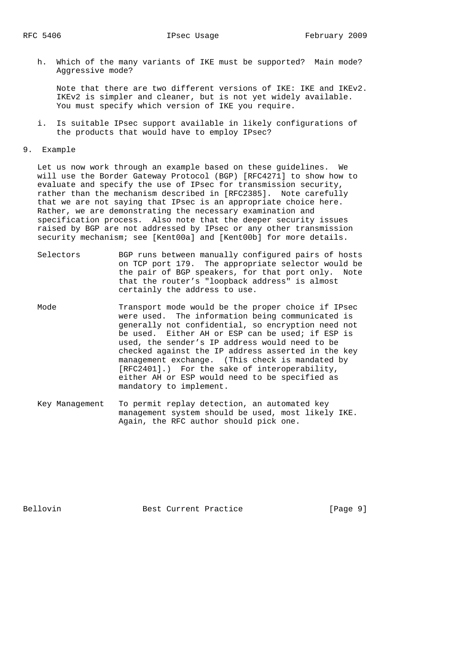h. Which of the many variants of IKE must be supported? Main mode? Aggressive mode?

 Note that there are two different versions of IKE: IKE and IKEv2. IKEv2 is simpler and cleaner, but is not yet widely available. You must specify which version of IKE you require.

- i. Is suitable IPsec support available in likely configurations of the products that would have to employ IPsec?
- 9. Example

 Let us now work through an example based on these guidelines. We will use the Border Gateway Protocol (BGP) [RFC4271] to show how to evaluate and specify the use of IPsec for transmission security, rather than the mechanism described in [RFC2385]. Note carefully that we are not saying that IPsec is an appropriate choice here. Rather, we are demonstrating the necessary examination and specification process. Also note that the deeper security issues raised by BGP are not addressed by IPsec or any other transmission security mechanism; see [Kent00a] and [Kent00b] for more details.

- Selectors BGP runs between manually configured pairs of hosts on TCP port 179. The appropriate selector would be the pair of BGP speakers, for that port only. Note that the router's "loopback address" is almost certainly the address to use.
- Mode Transport mode would be the proper choice if IPsec were used. The information being communicated is generally not confidential, so encryption need not be used. Either AH or ESP can be used; if ESP is used, the sender's IP address would need to be checked against the IP address asserted in the key management exchange. (This check is mandated by [RFC2401].) For the sake of interoperability, either AH or ESP would need to be specified as mandatory to implement.
- Key Management To permit replay detection, an automated key management system should be used, most likely IKE. Again, the RFC author should pick one.

Bellovin Best Current Practice [Page 9]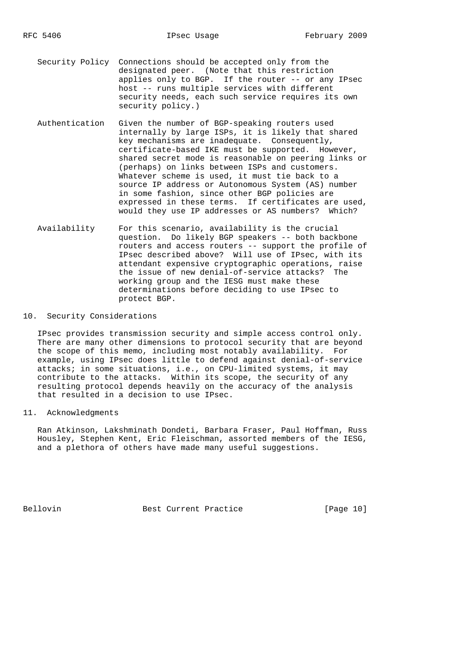Security Policy Connections should be accepted only from the designated peer. (Note that this restriction applies only to BGP. If the router -- or any IPsec host -- runs multiple services with different security needs, each such service requires its own security policy.)

- Authentication Given the number of BGP-speaking routers used internally by large ISPs, it is likely that shared key mechanisms are inadequate. Consequently, certificate-based IKE must be supported. However, shared secret mode is reasonable on peering links or (perhaps) on links between ISPs and customers. Whatever scheme is used, it must tie back to a source IP address or Autonomous System (AS) number in some fashion, since other BGP policies are expressed in these terms. If certificates are used, would they use IP addresses or AS numbers? Which?
- Availability For this scenario, availability is the crucial question. Do likely BGP speakers -- both backbone routers and access routers -- support the profile of IPsec described above? Will use of IPsec, with its attendant expensive cryptographic operations, raise the issue of new denial-of-service attacks? The working group and the IESG must make these determinations before deciding to use IPsec to protect BGP.

# 10. Security Considerations

 IPsec provides transmission security and simple access control only. There are many other dimensions to protocol security that are beyond the scope of this memo, including most notably availability. For example, using IPsec does little to defend against denial-of-service attacks; in some situations, i.e., on CPU-limited systems, it may contribute to the attacks. Within its scope, the security of any resulting protocol depends heavily on the accuracy of the analysis that resulted in a decision to use IPsec.

## 11. Acknowledgments

 Ran Atkinson, Lakshminath Dondeti, Barbara Fraser, Paul Hoffman, Russ Housley, Stephen Kent, Eric Fleischman, assorted members of the IESG, and a plethora of others have made many useful suggestions.

Bellovin **Best Current Practice** [Page 10]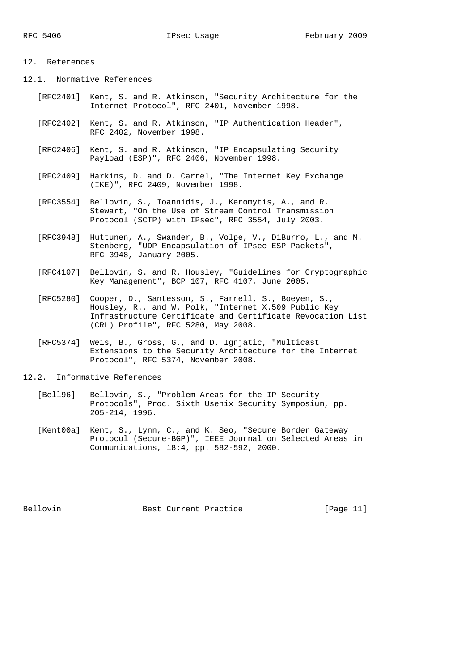# 12. References

12.1. Normative References

- [RFC2401] Kent, S. and R. Atkinson, "Security Architecture for the Internet Protocol", RFC 2401, November 1998.
- [RFC2402] Kent, S. and R. Atkinson, "IP Authentication Header", RFC 2402, November 1998.
- [RFC2406] Kent, S. and R. Atkinson, "IP Encapsulating Security Payload (ESP)", RFC 2406, November 1998.
- [RFC2409] Harkins, D. and D. Carrel, "The Internet Key Exchange (IKE)", RFC 2409, November 1998.
- [RFC3554] Bellovin, S., Ioannidis, J., Keromytis, A., and R. Stewart, "On the Use of Stream Control Transmission Protocol (SCTP) with IPsec", RFC 3554, July 2003.
- [RFC3948] Huttunen, A., Swander, B., Volpe, V., DiBurro, L., and M. Stenberg, "UDP Encapsulation of IPsec ESP Packets", RFC 3948, January 2005.
	- [RFC4107] Bellovin, S. and R. Housley, "Guidelines for Cryptographic Key Management", BCP 107, RFC 4107, June 2005.
	- [RFC5280] Cooper, D., Santesson, S., Farrell, S., Boeyen, S., Housley, R., and W. Polk, "Internet X.509 Public Key Infrastructure Certificate and Certificate Revocation List (CRL) Profile", RFC 5280, May 2008.
	- [RFC5374] Weis, B., Gross, G., and D. Ignjatic, "Multicast Extensions to the Security Architecture for the Internet Protocol", RFC 5374, November 2008.

12.2. Informative References

- [Bell96] Bellovin, S., "Problem Areas for the IP Security Protocols", Proc. Sixth Usenix Security Symposium, pp. 205-214, 1996.
- [Kent00a] Kent, S., Lynn, C., and K. Seo, "Secure Border Gateway Protocol (Secure-BGP)", IEEE Journal on Selected Areas in Communications, 18:4, pp. 582-592, 2000.

Bellovin Best Current Practice [Page 11]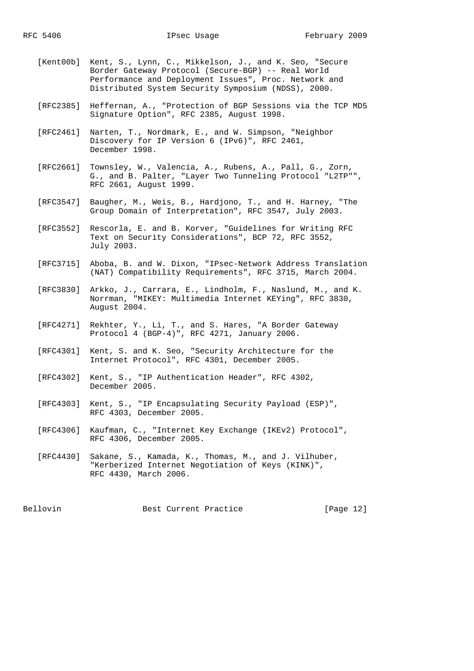- [Kent00b] Kent, S., Lynn, C., Mikkelson, J., and K. Seo, "Secure Border Gateway Protocol (Secure-BGP) -- Real World Performance and Deployment Issues", Proc. Network and Distributed System Security Symposium (NDSS), 2000.
- [RFC2385] Heffernan, A., "Protection of BGP Sessions via the TCP MD5 Signature Option", RFC 2385, August 1998.
- [RFC2461] Narten, T., Nordmark, E., and W. Simpson, "Neighbor Discovery for IP Version 6 (IPv6)", RFC 2461, December 1998.
- [RFC2661] Townsley, W., Valencia, A., Rubens, A., Pall, G., Zorn, G., and B. Palter, "Layer Two Tunneling Protocol "L2TP"", RFC 2661, August 1999.
- [RFC3547] Baugher, M., Weis, B., Hardjono, T., and H. Harney, "The Group Domain of Interpretation", RFC 3547, July 2003.
- [RFC3552] Rescorla, E. and B. Korver, "Guidelines for Writing RFC Text on Security Considerations", BCP 72, RFC 3552, July 2003.
- [RFC3715] Aboba, B. and W. Dixon, "IPsec-Network Address Translation (NAT) Compatibility Requirements", RFC 3715, March 2004.
- [RFC3830] Arkko, J., Carrara, E., Lindholm, F., Naslund, M., and K. Norrman, "MIKEY: Multimedia Internet KEYing", RFC 3830, August 2004.
- [RFC4271] Rekhter, Y., Li, T., and S. Hares, "A Border Gateway Protocol 4 (BGP-4)", RFC 4271, January 2006.
- [RFC4301] Kent, S. and K. Seo, "Security Architecture for the Internet Protocol", RFC 4301, December 2005.
- [RFC4302] Kent, S., "IP Authentication Header", RFC 4302, December 2005.
- [RFC4303] Kent, S., "IP Encapsulating Security Payload (ESP)", RFC 4303, December 2005.
- [RFC4306] Kaufman, C., "Internet Key Exchange (IKEv2) Protocol", RFC 4306, December 2005.
- [RFC4430] Sakane, S., Kamada, K., Thomas, M., and J. Vilhuber, "Kerberized Internet Negotiation of Keys (KINK)", RFC 4430, March 2006.

Bellovin Best Current Practice [Page 12]